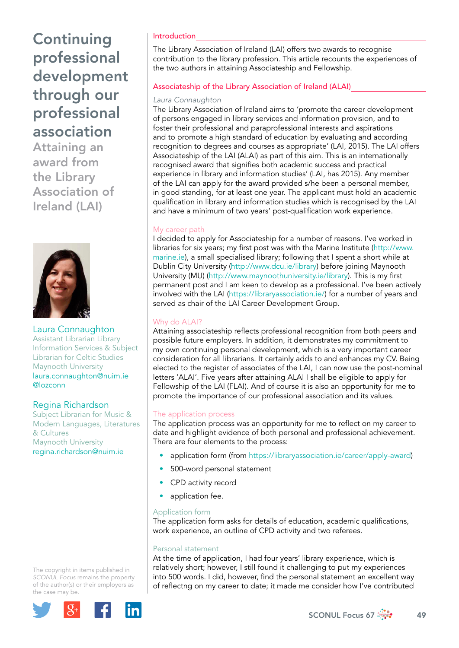Attaining an award from the Library Association of Ireland (LAI)



Laura Connaughton Assistant Librarian Library Information Services & Subject Librarian for Celtic Studies Maynooth University [laura.connaughton@nuim.ie](mailto:laura.connaughton@nuim.ie)  @lozconn

## Regina Richardson

Subject Librarian for Music & Modern Languages, Literatures & Cultures Maynooth University [regina.richardson@nuim.ie](mailto:regina.richardson@nuim.ie)

The copyright in items published in *SCONUL Focus* remains the property of the author(s) or their employers as the case may be.



### Introduction

The Library Association of Ireland (LAI) offers two awards to recognise contribution to the library profession. This article recounts the experiences of the two authors in attaining Associateship and Fellowship.

### Associateship of the Library Association of Ireland (ALAI)

#### *Laura Connaughton*

The Library Association of Ireland aims to 'promote the career development of persons engaged in library services and information provision, and to foster their professional and paraprofessional interests and aspirations and to promote a high standard of education by evaluating and according recognition to degrees and courses as appropriate' (LAI, 2015). The LAI offers Associateship of the LAI (ALAI) as part of this aim. This is an internationally recognised award that signifies both academic success and practical experience in library and information studies' (LAI, has 2015). Any member of the LAI can apply for the award provided s/he been a personal member, in good standing, for at least one year. The applicant must hold an academic qualification in library and information studies which is recognised by the LAI and have a minimum of two years' post-qualification work experience.

#### My career path

I decided to apply for Associateship for a number of reasons. I've worked in libraries for six years; my first post was with the Marine Institute ([http://www.](http://www.marine.ie) [marine.ie\)](http://www.marine.ie), a small specialised library; following that I spent a short while at Dublin City University ([http://www.dcu.ie/library\)](http://www.dcu.ie/library) before joining Maynooth University (MU) (<http://www.maynoothuniversity.ie/library>). This is my first permanent post and I am keen to develop as a professional. I've been actively involved with the LAI [\(https://libraryassociation.ie/](https://libraryassociation.ie/)) for a number of years and served as chair of the LAI Career Development Group.

### Why do ALAI?

Attaining associateship reflects professional recognition from both peers and possible future employers. In addition, it demonstrates my commitment to my own continuing personal development, which is a very important career consideration for all librarians. It certainly adds to and enhances my CV. Being elected to the register of associates of the LAI, I can now use the post-nominal letters 'ALAI'. Five years after attaining ALAI I shall be eligible to apply for Fellowship of the LAI (FLAI). And of course it is also an opportunity for me to promote the importance of our professional association and its values.

#### The application process

The application process was an opportunity for me to reflect on my career to date and highlight evidence of both personal and professional achievement. There are four elements to the process:

- application form (from <https://libraryassociation.ie/career/apply-award>)
- 500-word personal statement
- CPD activity record
- application fee.

#### Application form

The application form asks for details of education, academic qualifications, work experience, an outline of CPD activity and two referees.

#### Personal statement

At the time of application, I had four years' library experience, which is relatively short; however, I still found it challenging to put my experiences into 500 words. I did, however, find the personal statement an excellent way of reflectng on my career to date; it made me consider how I've contributed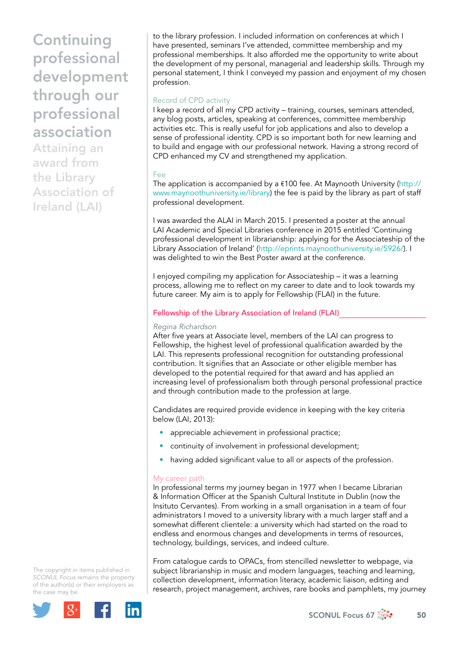Attaining an award from the Library Association of Ireland (LAI)

to the library profession. I included information on conferences at which I have presented, seminars I've attended, committee membership and my professional memberships. It also afforded me the opportunity to write about the development of my personal, managerial and leadership skills. Through my personal statement, I think I conveyed my passion and enjoyment of my chosen profession.

#### Record of CPD activity

I keep a record of all my CPD activity – training, courses, seminars attended, any blog posts, articles, speaking at conferences, committee membership activities etc. This is really useful for job applications and also to develop a sense of professional identity. CPD is so important both for new learning and to build and engage with our professional network. Having a strong record of CPD enhanced my CV and strengthened my application.

#### Fee

The application is accompanied by a €100 fee. At Maynooth University ([http://](http://www.maynoothuniversity.ie/library) [www.maynoothuniversity.ie/library](http://www.maynoothuniversity.ie/library)) the fee is paid by the library as part of staff professional development.

I was awarded the ALAI in March 2015. I presented a poster at the annual LAI Academic and Special Libraries conference in 2015 entitled 'Continuing professional development in librarianship: applying for the Associateship of the Library Association of Ireland' [\(http://eprints.maynoothuniversity.ie/5926/](http://eprints.maynoothuniversity.ie/5926/)). I was delighted to win the Best Poster award at the conference.

I enjoyed compiling my application for Associateship – it was a learning process, allowing me to reflect on my career to date and to look towards my future career. My aim is to apply for Fellowship (FLAI) in the future.

#### Fellowship of the Library Association of Ireland (FLAI)

#### *Regina Richardson*

After five years at Associate level, members of the LAI can progress to Fellowship, the highest level of professional qualification awarded by the LAI. This represents professional recognition for outstanding professional contribution. It signifies that an Associate or other eligible member has developed to the potential required for that award and has applied an increasing level of professionalism both through personal professional practice and through contribution made to the profession at large.

Candidates are required provide evidence in keeping with the key criteria below (LAI, 2013):

- appreciable achievement in professional practice;
- continuity of involvement in professional development;
- having added significant value to all or aspects of the profession.

#### My career path

In professional terms my journey began in 1977 when I became Librarian & Information Officer at the Spanish Cultural Institute in Dublin (now the [Insituto Cervantes\)](http://dublin.cervantes.es/en/default.shtm). From working in a small organisation in a team of four administrators I moved to a university library with a much larger staff and a somewhat different clientele: a university which had started on the road to endless and enormous changes and developments in terms of resources, technology, buildings, services, and indeed culture.

The copyright in items published in *SCONUL Focus* remains the property of the author(s) or their employers as the case may be.



From catalogue cards to OPACs, from stencilled newsletter to webpage, via subject librarianship in music and modern languages, teaching and learning, collection development, information literacy, academic liaison, editing and research, project management, archives, rare books and pamphlets, my journey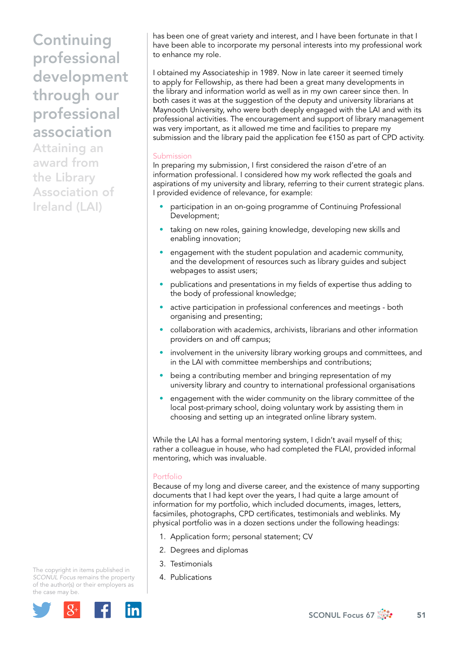Attaining an award from the Library Association of Ireland (LAI)

has been one of great variety and interest, and I have been fortunate in that I have been able to incorporate my personal interests into my professional work to enhance my role.

I obtained my Associateship in 1989. Now in late career it seemed timely to apply for Fellowship, as there had been a great many developments in the library and information world as well as in my own career since then. In both cases it was at the suggestion of the deputy and university librarians at Maynooth University, who were both deeply engaged with the LAI and with its professional activities. The encouragement and support of library management was very important, as it allowed me time and facilities to prepare my submission and the library paid the application fee €150 as part of CPD activity.

#### Submission

In preparing my submission, I first considered the raison d'etre of an information professional. I considered how my work reflected the goals and aspirations of my university and library, referring to their current strategic plans. I provided evidence of relevance, for example:

- participation in an on-going programme of Continuing Professional Development;
- taking on new roles, gaining knowledge, developing new skills and enabling innovation;
- engagement with the student population and academic community, and the development of resources such as library guides and subject webpages to assist users;
- publications and presentations in my fields of expertise thus adding to the body of professional knowledge;
- active participation in professional conferences and meetings both organising and presenting;
- collaboration with academics, archivists, librarians and other information providers on and off campus;
- involvement in the university library working groups and committees, and in the LAI with committee memberships and contributions;
- being a contributing member and bringing representation of my university library and country to international professional organisations
- engagement with the wider community on the library committee of the local post-primary school, doing voluntary work by assisting them in choosing and setting up an integrated online library system.

While the LAI has a formal mentoring system, I didn't avail myself of this; rather a colleague in house, who had completed the FLAI, provided informal mentoring, which was invaluable.

#### Portfolio

Because of my long and diverse career, and the existence of many supporting documents that I had kept over the years, I had quite a large amount of information for my portfolio, which included documents, images, letters, facsimiles, photographs, CPD certificates, testimonials and weblinks. My physical portfolio was in a dozen sections under the following headings:

- 1. Application form; personal statement; CV
- 2. Degrees and diplomas
- 3. Testimonials
- 4. Publications

The copyright in items published in *SCONUL Focus* remains the property of the author(s) or their employers as the case may be.